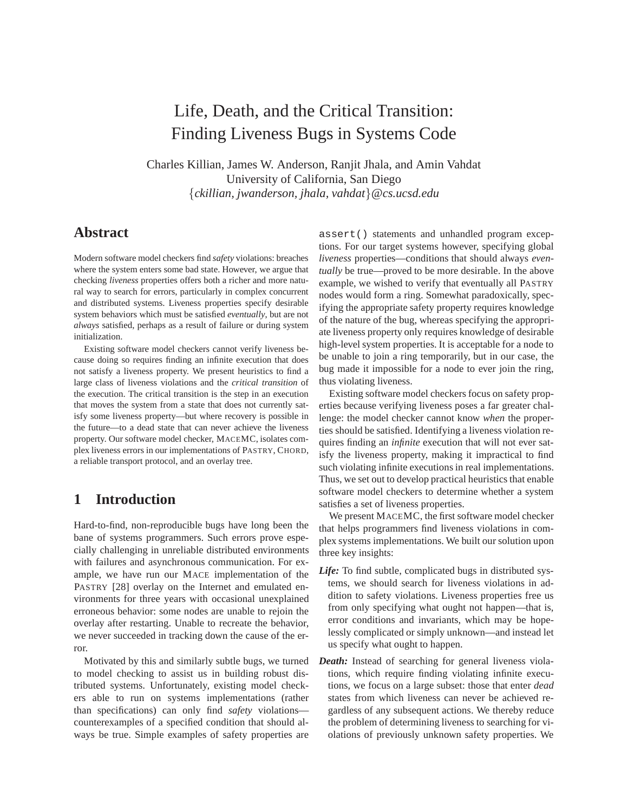# Life, Death, and the Critical Transition: Finding Liveness Bugs in Systems Code

Charles Killian, James W. Anderson, Ranjit Jhala, and Amin Vahdat University of California, San Diego {*ckillian, jwanderson, jhala, vahdat*}*@cs.ucsd.edu*

# **Abstract**

Modern software model checkers find *safety* violations: breaches where the system enters some bad state. However, we argue that checking *liveness* properties offers both a richer and more natural way to search for errors, particularly in complex concurrent and distributed systems. Liveness properties specify desirable system behaviors which must be satisfied *eventually*, but are not *always* satisfied, perhaps as a result of failure or during system initialization.

Existing software model checkers cannot verify liveness because doing so requires finding an infinite execution that does not satisfy a liveness property. We present heuristics to find a large class of liveness violations and the *critical transition* of the execution. The critical transition is the step in an execution that moves the system from a state that does not currently satisfy some liveness property—but where recovery is possible in the future—to a dead state that can never achieve the liveness property. Our software model checker, MACEMC, isolates complex liveness errors in our implementations of PASTRY, CHORD, a reliable transport protocol, and an overlay tree.

# **1 Introduction**

Hard-to-find, non-reproducible bugs have long been the bane of systems programmers. Such errors prove especially challenging in unreliable distributed environments with failures and asynchronous communication. For example, we have run our MACE implementation of the PASTRY [28] overlay on the Internet and emulated environments for three years with occasional unexplained erroneous behavior: some nodes are unable to rejoin the overlay after restarting. Unable to recreate the behavior, we never succeeded in tracking down the cause of the error.

Motivated by this and similarly subtle bugs, we turned to model checking to assist us in building robust distributed systems. Unfortunately, existing model checkers able to run on systems implementations (rather than specifications) can only find *safety* violations counterexamples of a specified condition that should always be true. Simple examples of safety properties are

assert() statements and unhandled program exceptions. For our target systems however, specifying global *liveness* properties—conditions that should always *eventually* be true—proved to be more desirable. In the above example, we wished to verify that eventually all PASTRY nodes would form a ring. Somewhat paradoxically, specifying the appropriate safety property requires knowledge of the nature of the bug, whereas specifying the appropriate liveness property only requires knowledge of desirable high-level system properties. It is acceptable for a node to be unable to join a ring temporarily, but in our case, the bug made it impossible for a node to ever join the ring, thus violating liveness.

Existing software model checkers focus on safety properties because verifying liveness poses a far greater challenge: the model checker cannot know *when* the properties should be satisfied. Identifying a liveness violation requires finding an *infinite* execution that will not ever satisfy the liveness property, making it impractical to find such violating infinite executions in real implementations. Thus, we set out to develop practical heuristics that enable software model checkers to determine whether a system satisfies a set of liveness properties.

We present MACEMC, the first software model checker that helps programmers find liveness violations in complex systems implementations. We built our solution upon three key insights:

- *Life:* To find subtle, complicated bugs in distributed systems, we should search for liveness violations in addition to safety violations. Liveness properties free us from only specifying what ought not happen—that is, error conditions and invariants, which may be hopelessly complicated or simply unknown—and instead let us specify what ought to happen.
- *Death:* Instead of searching for general liveness violations, which require finding violating infinite executions, we focus on a large subset: those that enter *dead* states from which liveness can never be achieved regardless of any subsequent actions. We thereby reduce the problem of determining liveness to searching for violations of previously unknown safety properties. We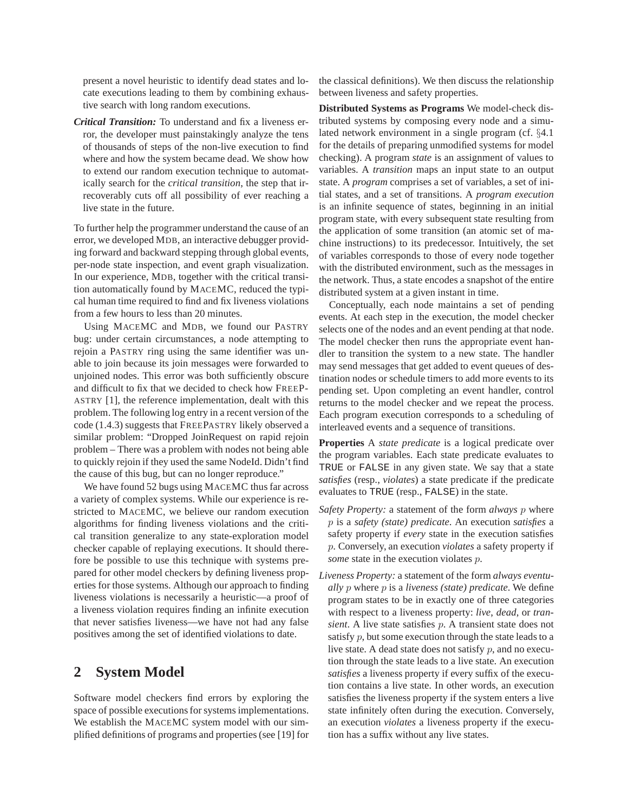present a novel heuristic to identify dead states and locate executions leading to them by combining exhaustive search with long random executions.

*Critical Transition:* To understand and fix a liveness error, the developer must painstakingly analyze the tens of thousands of steps of the non-live execution to find where and how the system became dead. We show how to extend our random execution technique to automatically search for the *critical transition*, the step that irrecoverably cuts off all possibility of ever reaching a live state in the future.

To further help the programmer understand the cause of an error, we developed MDB, an interactive debugger providing forward and backward stepping through global events, per-node state inspection, and event graph visualization. In our experience, MDB, together with the critical transition automatically found by MACEMC, reduced the typical human time required to find and fix liveness violations from a few hours to less than 20 minutes.

Using MACEMC and MDB, we found our PASTRY bug: under certain circumstances, a node attempting to rejoin a PASTRY ring using the same identifier was unable to join because its join messages were forwarded to unjoined nodes. This error was both sufficiently obscure and difficult to fix that we decided to check how FREEP-ASTRY [1], the reference implementation, dealt with this problem. The following log entry in a recent version of the code (1.4.3) suggests that FREEPASTRY likely observed a similar problem: "Dropped JoinRequest on rapid rejoin problem – There was a problem with nodes not being able to quickly rejoin if they used the same NodeId. Didn't find the cause of this bug, but can no longer reproduce."

We have found 52 bugs using MACEMC thus far across a variety of complex systems. While our experience is restricted to MACEMC, we believe our random execution algorithms for finding liveness violations and the critical transition generalize to any state-exploration model checker capable of replaying executions. It should therefore be possible to use this technique with systems prepared for other model checkers by defining liveness properties for those systems. Although our approach to finding liveness violations is necessarily a heuristic—a proof of a liveness violation requires finding an infinite execution that never satisfies liveness—we have not had any false positives among the set of identified violations to date.

### **2 System Model**

Software model checkers find errors by exploring the space of possible executions for systems implementations. We establish the MACEMC system model with our simplified definitions of programs and properties (see [19] for

the classical definitions). We then discuss the relationship between liveness and safety properties.

**Distributed Systems as Programs** We model-check distributed systems by composing every node and a simulated network environment in a single program (cf. §4.1 for the details of preparing unmodified systems for model checking). A program *state* is an assignment of values to variables. A *transition* maps an input state to an output state. A *program* comprises a set of variables, a set of initial states, and a set of transitions. A *program execution* is an infinite sequence of states, beginning in an initial program state, with every subsequent state resulting from the application of some transition (an atomic set of machine instructions) to its predecessor. Intuitively, the set of variables corresponds to those of every node together with the distributed environment, such as the messages in the network. Thus, a state encodes a snapshot of the entire distributed system at a given instant in time.

Conceptually, each node maintains a set of pending events. At each step in the execution, the model checker selects one of the nodes and an event pending at that node. The model checker then runs the appropriate event handler to transition the system to a new state. The handler may send messages that get added to event queues of destination nodes or schedule timers to add more events to its pending set. Upon completing an event handler, control returns to the model checker and we repeat the process. Each program execution corresponds to a scheduling of interleaved events and a sequence of transitions.

**Properties** A *state predicate* is a logical predicate over the program variables. Each state predicate evaluates to TRUE or FALSE in any given state. We say that a state *satisfies* (resp., *violates*) a state predicate if the predicate evaluates to TRUE (resp., FALSE) in the state.

- *Safety Property:* a statement of the form *always* p where p is a *safety (state) predicate*. An execution *satisfies* a safety property if *every* state in the execution satisfies p. Conversely, an execution *violates* a safety property if *some* state in the execution violates p.
- *Liveness Property:* a statement of the form *always eventually* p where p is a *liveness (state) predicate*. We define program states to be in exactly one of three categories with respect to a liveness property: *live*, *dead*, or *transient*. A live state satisfies p. A transient state does not satisfy  $p$ , but some execution through the state leads to a live state. A dead state does not satisfy  $p$ , and no execution through the state leads to a live state. An execution *satisfies* a liveness property if every suffix of the execution contains a live state. In other words, an execution satisfies the liveness property if the system enters a live state infinitely often during the execution. Conversely, an execution *violates* a liveness property if the execution has a suffix without any live states.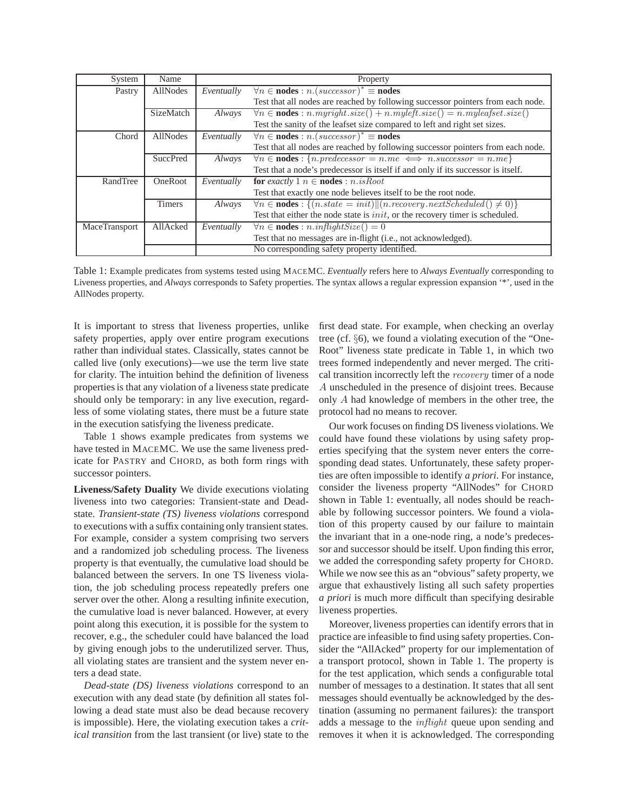| System               | Name            | Property   |                                                                                        |  |  |  |
|----------------------|-----------------|------------|----------------------------------------------------------------------------------------|--|--|--|
| Pastry               | AllNodes        | Eventually | $\forall n \in nodes : n.(successor)^* \equiv nodes$                                   |  |  |  |
|                      |                 |            | Test that all nodes are reached by following successor pointers from each node.        |  |  |  |
|                      | SizeMatch       | Always     | $\forall n \in nodes : n. myright.size() + n. myleft.size() = n. myleafset.size()$     |  |  |  |
|                      |                 |            | Test the sanity of the leafset size compared to left and right set sizes.              |  |  |  |
| Chord                | AllNodes        | Eventually | $\forall n \in nodes : n.(successor)^* \equiv nodes$                                   |  |  |  |
|                      |                 |            | Test that all nodes are reached by following successor pointers from each node.        |  |  |  |
|                      | <b>SuccPred</b> | Always     | $\overline{\forall n \in nodes : \{n,predecessary = n, me} \iff nsuccessor = n, me\}}$ |  |  |  |
|                      |                 |            | Test that a node's predecessor is itself if and only if its successor is itself.       |  |  |  |
| RandTree             | <b>OneRoot</b>  | Eventually | for exactly 1 $n \in \text{nodes} : n.isRoot$                                          |  |  |  |
|                      |                 |            | Test that exactly one node believes itself to be the root node.                        |  |  |  |
|                      | <b>Timers</b>   | Always     | $\forall n \in nodes : \{(n.state = init)    (n recovery.next Scheduled() \neq 0)\}\$  |  |  |  |
|                      |                 |            | Test that either the node state is <i>init</i> , or the recovery timer is scheduled.   |  |  |  |
| <b>MaceTransport</b> | AllAcked        | Eventually | $\forall n \in \textbf{nodes} : n.inflightSize() = 0$                                  |  |  |  |
|                      |                 |            | Test that no messages are in-flight (i.e., not acknowledged).                          |  |  |  |
|                      |                 |            | No corresponding safety property identified.                                           |  |  |  |

Table 1: Example predicates from systems tested using MACEMC. *Eventually* refers here to *Always Eventually* corresponding to Liveness properties, and *Always* corresponds to Safety properties. The syntax allows a regular expression expansion '\*', used in the AllNodes property.

It is important to stress that liveness properties, unlike safety properties, apply over entire program executions rather than individual states. Classically, states cannot be called live (only executions)—we use the term live state for clarity. The intuition behind the definition of liveness properties is that any violation of a liveness state predicate should only be temporary: in any live execution, regardless of some violating states, there must be a future state in the execution satisfying the liveness predicate.

Table 1 shows example predicates from systems we have tested in MACEMC. We use the same liveness predicate for PASTRY and CHORD, as both form rings with successor pointers.

**Liveness/Safety Duality** We divide executions violating liveness into two categories: Transient-state and Deadstate. *Transient-state (TS) liveness violations* correspond to executions with a suffix containing only transient states. For example, consider a system comprising two servers and a randomized job scheduling process. The liveness property is that eventually, the cumulative load should be balanced between the servers. In one TS liveness violation, the job scheduling process repeatedly prefers one server over the other. Along a resulting infinite execution, the cumulative load is never balanced. However, at every point along this execution, it is possible for the system to recover, e.g., the scheduler could have balanced the load by giving enough jobs to the underutilized server. Thus, all violating states are transient and the system never enters a dead state.

*Dead-state (DS) liveness violations* correspond to an execution with any dead state (by definition all states following a dead state must also be dead because recovery is impossible). Here, the violating execution takes a *critical transition* from the last transient (or live) state to the

first dead state. For example, when checking an overlay tree (cf. §6), we found a violating execution of the "One-Root" liveness state predicate in Table 1, in which two trees formed independently and never merged. The critical transition incorrectly left the recovery timer of a node A unscheduled in the presence of disjoint trees. Because only A had knowledge of members in the other tree, the protocol had no means to recover.

Our work focuses on finding DS liveness violations. We could have found these violations by using safety properties specifying that the system never enters the corresponding dead states. Unfortunately, these safety properties are often impossible to identify *a priori*. For instance, consider the liveness property "AllNodes" for CHORD shown in Table 1: eventually, all nodes should be reachable by following successor pointers. We found a violation of this property caused by our failure to maintain the invariant that in a one-node ring, a node's predecessor and successor should be itself. Upon finding this error, we added the corresponding safety property for CHORD. While we now see this as an "obvious" safety property, we argue that exhaustively listing all such safety properties *a priori* is much more difficult than specifying desirable liveness properties.

Moreover, liveness properties can identify errors that in practice are infeasible to find using safety properties. Consider the "AllAcked" property for our implementation of a transport protocol, shown in Table 1. The property is for the test application, which sends a configurable total number of messages to a destination. It states that all sent messages should eventually be acknowledged by the destination (assuming no permanent failures): the transport adds a message to the inflight queue upon sending and removes it when it is acknowledged. The corresponding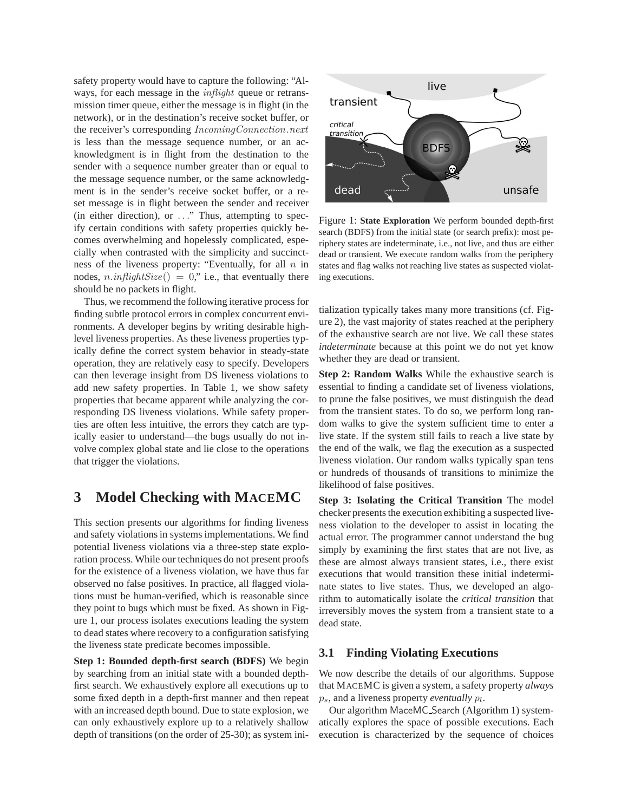safety property would have to capture the following: "Always, for each message in the *inflight* queue or retransmission timer queue, either the message is in flight (in the network), or in the destination's receive socket buffer, or the receiver's corresponding IncomingConnection.next is less than the message sequence number, or an acknowledgment is in flight from the destination to the sender with a sequence number greater than or equal to the message sequence number, or the same acknowledgment is in the sender's receive socket buffer, or a reset message is in flight between the sender and receiver (in either direction), or . . ." Thus, attempting to specify certain conditions with safety properties quickly becomes overwhelming and hopelessly complicated, especially when contrasted with the simplicity and succinctness of the liveness property: "Eventually, for all  $n$  in nodes,  $n.inflightSize() = 0$ ," i.e., that eventually there should be no packets in flight.

Thus, we recommend the following iterative process for finding subtle protocol errors in complex concurrent environments. A developer begins by writing desirable highlevel liveness properties. As these liveness properties typically define the correct system behavior in steady-state operation, they are relatively easy to specify. Developers can then leverage insight from DS liveness violations to add new safety properties. In Table 1, we show safety properties that became apparent while analyzing the corresponding DS liveness violations. While safety properties are often less intuitive, the errors they catch are typically easier to understand—the bugs usually do not involve complex global state and lie close to the operations that trigger the violations.

# **3 Model Checking with MACEMC**

This section presents our algorithms for finding liveness and safety violations in systems implementations. We find potential liveness violations via a three-step state exploration process. While our techniques do not present proofs for the existence of a liveness violation, we have thus far observed no false positives. In practice, all flagged violations must be human-verified, which is reasonable since they point to bugs which must be fixed. As shown in Figure 1, our process isolates executions leading the system to dead states where recovery to a configuration satisfying the liveness state predicate becomes impossible.

**Step 1: Bounded depth-first search (BDFS)** We begin by searching from an initial state with a bounded depthfirst search. We exhaustively explore all executions up to some fixed depth in a depth-first manner and then repeat with an increased depth bound. Due to state explosion, we can only exhaustively explore up to a relatively shallow depth of transitions (on the order of 25-30); as system ini-



Figure 1: **State Exploration** We perform bounded depth-first search (BDFS) from the initial state (or search prefix): most periphery states are indeterminate, i.e., not live, and thus are either dead or transient. We execute random walks from the periphery states and flag walks not reaching live states as suspected violating executions.

tialization typically takes many more transitions (cf. Figure 2), the vast majority of states reached at the periphery of the exhaustive search are not live. We call these states *indeterminate* because at this point we do not yet know whether they are dead or transient.

**Step 2: Random Walks** While the exhaustive search is essential to finding a candidate set of liveness violations, to prune the false positives, we must distinguish the dead from the transient states. To do so, we perform long random walks to give the system sufficient time to enter a live state. If the system still fails to reach a live state by the end of the walk, we flag the execution as a suspected liveness violation. Our random walks typically span tens or hundreds of thousands of transitions to minimize the likelihood of false positives.

**Step 3: Isolating the Critical Transition** The model checker presents the execution exhibiting a suspected liveness violation to the developer to assist in locating the actual error. The programmer cannot understand the bug simply by examining the first states that are not live, as these are almost always transient states, i.e., there exist executions that would transition these initial indeterminate states to live states. Thus, we developed an algorithm to automatically isolate the *critical transition* that irreversibly moves the system from a transient state to a dead state.

### **3.1 Finding Violating Executions**

We now describe the details of our algorithms. Suppose that MACEMC is given a system, a safety property *always*  $p_s$ , and a liveness property *eventually*  $p_l$ .

Our algorithm MaceMC Search (Algorithm 1) systematically explores the space of possible executions. Each execution is characterized by the sequence of choices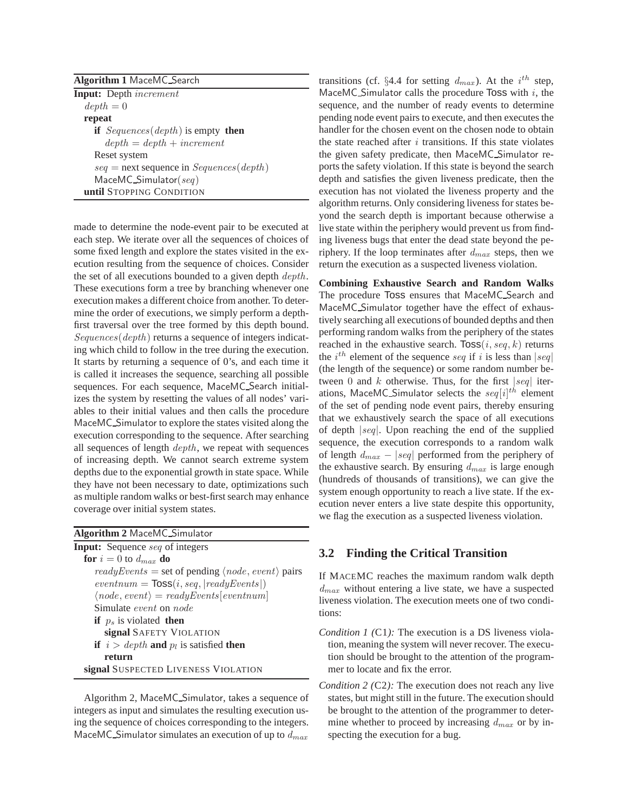| <b>Algorithm 1 MaceMC_Search</b> |                                                  |  |  |  |  |
|----------------------------------|--------------------------------------------------|--|--|--|--|
|                                  | <b>Input:</b> Depth <i>increment</i>             |  |  |  |  |
| $depth = 0$                      |                                                  |  |  |  |  |
| repeat                           |                                                  |  |  |  |  |
|                                  | <b>if</b> Sequences (depth) is empty <b>then</b> |  |  |  |  |
|                                  | $depth = depth + increment$                      |  |  |  |  |
| Reset system                     |                                                  |  |  |  |  |
|                                  | $seq =$ next sequence in $Sequences(depth)$      |  |  |  |  |
| $MaceMC$ _Simulator(seq)         |                                                  |  |  |  |  |
|                                  | until STOPPING CONDITION                         |  |  |  |  |

made to determine the node-event pair to be executed at each step. We iterate over all the sequences of choices of some fixed length and explore the states visited in the execution resulting from the sequence of choices. Consider the set of all executions bounded to a given depth *depth*. These executions form a tree by branching whenever one execution makes a different choice from another. To determine the order of executions, we simply perform a depthfirst traversal over the tree formed by this depth bound. Sequences(depth) returns a sequence of integers indicating which child to follow in the tree during the execution. It starts by returning a sequence of 0's, and each time it is called it increases the sequence, searching all possible sequences. For each sequence, MaceMC Search initializes the system by resetting the values of all nodes' variables to their initial values and then calls the procedure MaceMC Simulator to explore the states visited along the execution corresponding to the sequence. After searching all sequences of length depth, we repeat with sequences of increasing depth. We cannot search extreme system depths due to the exponential growth in state space. While they have not been necessary to date, optimizations such as multiple random walks or best-first search may enhance coverage over initial system states.

Algorithm 2, MaceMC Simulator, takes a sequence of integers as input and simulates the resulting execution using the sequence of choices corresponding to the integers. MaceMC\_Simulator simulates an execution of up to  $d_{max}$ 

transitions (cf. §4.4 for setting  $d_{max}$ ). At the  $i^{th}$  step, MaceMC Simulator calls the procedure Toss with  $i$ , the sequence, and the number of ready events to determine pending node event pairs to execute, and then executes the handler for the chosen event on the chosen node to obtain the state reached after  $i$  transitions. If this state violates the given safety predicate, then MaceMC Simulator reports the safety violation. If this state is beyond the search depth and satisfies the given liveness predicate, then the execution has not violated the liveness property and the algorithm returns. Only considering liveness for states beyond the search depth is important because otherwise a live state within the periphery would prevent us from finding liveness bugs that enter the dead state beyond the periphery. If the loop terminates after  $d_{max}$  steps, then we return the execution as a suspected liveness violation.

**Combining Exhaustive Search and Random Walks** The procedure Toss ensures that MaceMC Search and MaceMC Simulator together have the effect of exhaustively searching all executions of bounded depths and then performing random walks from the periphery of the states reached in the exhaustive search.  $Toss(i, seq, k)$  returns the  $i^{th}$  element of the sequence seq if i is less than  $|seq|$ (the length of the sequence) or some random number between 0 and k otherwise. Thus, for the first  $|seq|$  iterations, MaceMC\_Simulator selects the  $\text{seq}[i]^{th}$  element of the set of pending node event pairs, thereby ensuring that we exhaustively search the space of all executions of depth |seq|. Upon reaching the end of the supplied sequence, the execution corresponds to a random walk of length  $d_{max}$  – |seq| performed from the periphery of the exhaustive search. By ensuring  $d_{max}$  is large enough (hundreds of thousands of transitions), we can give the system enough opportunity to reach a live state. If the execution never enters a live state despite this opportunity, we flag the execution as a suspected liveness violation.

#### **3.2 Finding the Critical Transition**

If MACEMC reaches the maximum random walk depth  $d_{max}$  without entering a live state, we have a suspected liveness violation. The execution meets one of two conditions:

- *Condition 1 (*C1*):* The execution is a DS liveness violation, meaning the system will never recover. The execution should be brought to the attention of the programmer to locate and fix the error.
- *Condition 2 (*C2*):* The execution does not reach any live states, but might still in the future. The execution should be brought to the attention of the programmer to determine whether to proceed by increasing  $d_{max}$  or by inspecting the execution for a bug.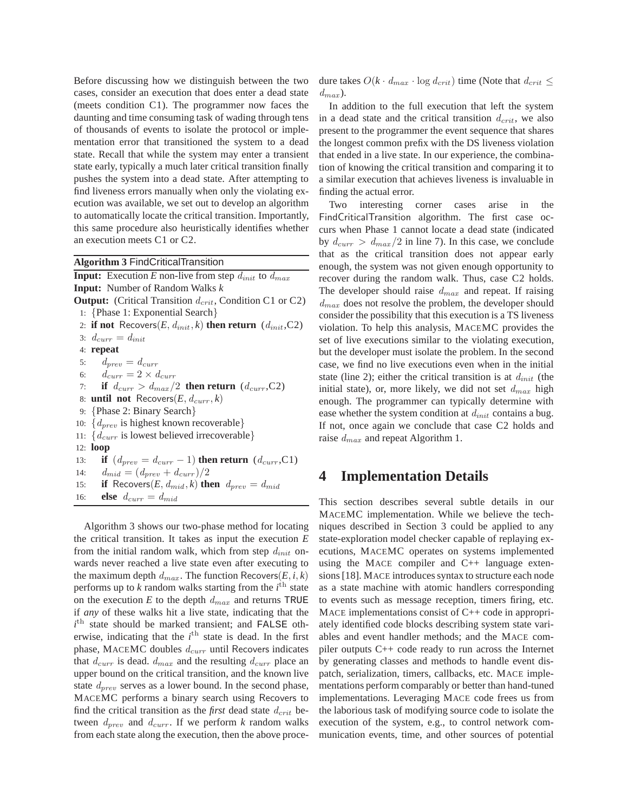Before discussing how we distinguish between the two cases, consider an execution that does enter a dead state (meets condition C1). The programmer now faces the daunting and time consuming task of wading through tens of thousands of events to isolate the protocol or implementation error that transitioned the system to a dead state. Recall that while the system may enter a transient state early, typically a much later critical transition finally pushes the system into a dead state. After attempting to find liveness errors manually when only the violating execution was available, we set out to develop an algorithm to automatically locate the critical transition. Importantly, this same procedure also heuristically identifies whether an execution meets C1 or C2.

**Algorithm 3** FindCriticalTransition

**Input:** Execution *E* non-live from step  $d_{init}$  to  $d_{max}$ **Input:** Number of Random Walks *k* **Output:** (Critical Transition  $d_{crit}$ , Condition C1 or C2) 1: {Phase 1: Exponential Search} 2: **if not** Recovers $(E, d_{init}, k)$  then return  $(d_{init}, C2)$ 3:  $d_{curr} = d_{init}$ 4: **repeat** 5:  $d_{prev} = d_{curr}$ 6:  $d_{curr} = 2 \times d_{curr}$ 7: **if**  $d_{curr} > d_{max}/2$  **then return**  $(d_{curr}, C2)$ 8: **until not** Recovers $(E, d_{curr}, k)$ 9: {Phase 2: Binary Search} 10:  $\{d_{prev}$  is highest known recoverable} 11:  $\{d_{curr}$  is lowest believed irrecoverable} 12: **loop** 13: **if**  $(d_{prev} = d_{curr} - 1)$  **then return**  $(d_{curr}, C1)$ 14:  $d_{mid} = (d_{prev} + d_{curr})/2$ 15: **if** Recovers $(E, d_{mid}, k)$  then  $d_{prev} = d_{mid}$ 16: **else**  $d_{curr} = d_{mid}$ 

Algorithm 3 shows our two-phase method for locating the critical transition. It takes as input the execution *E* from the initial random walk, which from step  $d_{init}$  onwards never reached a live state even after executing to the maximum depth  $d_{max}$ . The function Recovers $(E, i, k)$ performs up to  $\vec{k}$  random walks starting from the  $i^{\text{th}}$  state on the execution  $E$  to the depth  $d_{max}$  and returns TRUE if *any* of these walks hit a live state, indicating that the  $i$ <sup>th</sup> state should be marked transient; and FALSE otherwise, indicating that the  $i<sup>th</sup>$  state is dead. In the first phase, MACEMC doubles  $d_{curr}$  until Recovers indicates that  $d_{curr}$  is dead.  $d_{max}$  and the resulting  $d_{curr}$  place an upper bound on the critical transition, and the known live state  $d_{prev}$  serves as a lower bound. In the second phase, MACEMC performs a binary search using Recovers to find the critical transition as the *first* dead state  $d_{crit}$  between  $d_{prev}$  and  $d_{curr}$ . If we perform *k* random walks from each state along the execution, then the above procedure takes  $O(k \cdot d_{max} \cdot \log d_{crit})$  time (Note that  $d_{crit} \le$  $d_{max}$ ).

In addition to the full execution that left the system in a dead state and the critical transition  $d_{crit}$ , we also present to the programmer the event sequence that shares the longest common prefix with the DS liveness violation that ended in a live state. In our experience, the combination of knowing the critical transition and comparing it to a similar execution that achieves liveness is invaluable in finding the actual error.

Two interesting corner cases arise in the FindCriticalTransition algorithm. The first case occurs when Phase 1 cannot locate a dead state (indicated by  $d_{curr} > d_{max}/2$  in line 7). In this case, we conclude that as the critical transition does not appear early enough, the system was not given enough opportunity to recover during the random walk. Thus, case C2 holds. The developer should raise  $d_{max}$  and repeat. If raising  $d_{max}$  does not resolve the problem, the developer should consider the possibility that this execution is a TS liveness violation. To help this analysis, MACEMC provides the set of live executions similar to the violating execution, but the developer must isolate the problem. In the second case, we find no live executions even when in the initial state (line 2); either the critical transition is at  $d_{init}$  (the initial state), or, more likely, we did not set  $d_{max}$  high enough. The programmer can typically determine with ease whether the system condition at  $d_{init}$  contains a bug. If not, once again we conclude that case C2 holds and raise  $d_{max}$  and repeat Algorithm 1.

# **4 Implementation Details**

This section describes several subtle details in our MACEMC implementation. While we believe the techniques described in Section 3 could be applied to any state-exploration model checker capable of replaying executions, MACEMC operates on systems implemented using the MACE compiler and C++ language extensions [18]. MACE introduces syntax to structure each node as a state machine with atomic handlers corresponding to events such as message reception, timers firing, etc. MACE implementations consist of C++ code in appropriately identified code blocks describing system state variables and event handler methods; and the MACE compiler outputs C++ code ready to run across the Internet by generating classes and methods to handle event dispatch, serialization, timers, callbacks, etc. MACE implementations perform comparably or better than hand-tuned implementations. Leveraging MACE code frees us from the laborious task of modifying source code to isolate the execution of the system, e.g., to control network communication events, time, and other sources of potential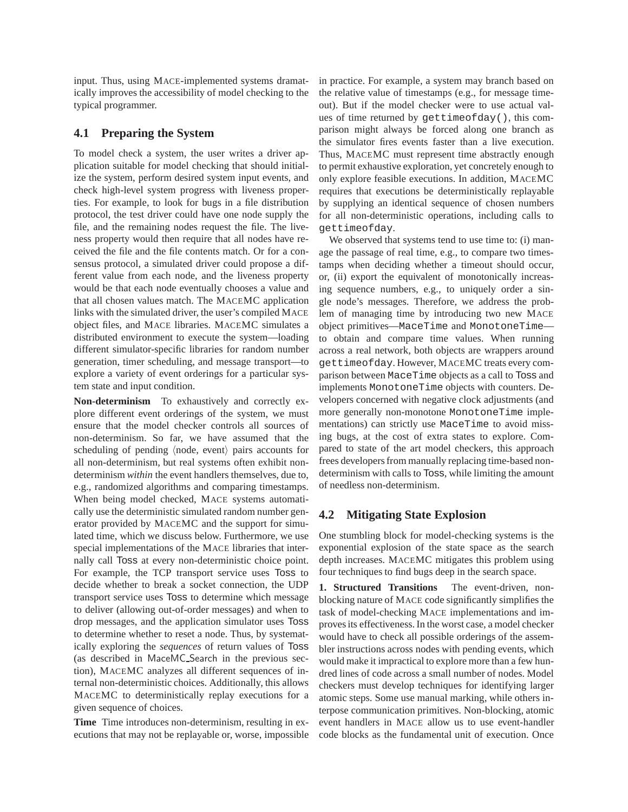input. Thus, using MACE-implemented systems dramatically improves the accessibility of model checking to the typical programmer.

### **4.1 Preparing the System**

To model check a system, the user writes a driver application suitable for model checking that should initialize the system, perform desired system input events, and check high-level system progress with liveness properties. For example, to look for bugs in a file distribution protocol, the test driver could have one node supply the file, and the remaining nodes request the file. The liveness property would then require that all nodes have received the file and the file contents match. Or for a consensus protocol, a simulated driver could propose a different value from each node, and the liveness property would be that each node eventually chooses a value and that all chosen values match. The MACEMC application links with the simulated driver, the user's compiled MACE object files, and MACE libraries. MACEMC simulates a distributed environment to execute the system—loading different simulator-specific libraries for random number generation, timer scheduling, and message transport—to explore a variety of event orderings for a particular system state and input condition.

**Non-determinism** To exhaustively and correctly explore different event orderings of the system, we must ensure that the model checker controls all sources of non-determinism. So far, we have assumed that the scheduling of pending (node, event) pairs accounts for all non-determinism, but real systems often exhibit nondeterminism *within* the event handlers themselves, due to, e.g., randomized algorithms and comparing timestamps. When being model checked, MACE systems automatically use the deterministic simulated random number generator provided by MACEMC and the support for simulated time, which we discuss below. Furthermore, we use special implementations of the MACE libraries that internally call Toss at every non-deterministic choice point. For example, the TCP transport service uses Toss to decide whether to break a socket connection, the UDP transport service uses Toss to determine which message to deliver (allowing out-of-order messages) and when to drop messages, and the application simulator uses Toss to determine whether to reset a node. Thus, by systematically exploring the *sequences* of return values of Toss (as described in MaceMC Search in the previous section), MACEMC analyzes all different sequences of internal non-deterministic choices. Additionally, this allows MACEMC to deterministically replay executions for a given sequence of choices.

**Time** Time introduces non-determinism, resulting in executions that may not be replayable or, worse, impossible in practice. For example, a system may branch based on the relative value of timestamps (e.g., for message timeout). But if the model checker were to use actual values of time returned by gettimeofday(), this comparison might always be forced along one branch as the simulator fires events faster than a live execution. Thus, MACEMC must represent time abstractly enough to permit exhaustive exploration, yet concretely enough to only explore feasible executions. In addition, MACEMC requires that executions be deterministically replayable by supplying an identical sequence of chosen numbers for all non-deterministic operations, including calls to gettimeofday.

We observed that systems tend to use time to: (i) manage the passage of real time, e.g., to compare two timestamps when deciding whether a timeout should occur, or, (ii) export the equivalent of monotonically increasing sequence numbers, e.g., to uniquely order a single node's messages. Therefore, we address the problem of managing time by introducing two new MACE object primitives—MaceTime and MonotoneTime to obtain and compare time values. When running across a real network, both objects are wrappers around gettimeofday. However, MACEMC treats every comparison between MaceTime objects as a call to Toss and implements MonotoneTime objects with counters. Developers concerned with negative clock adjustments (and more generally non-monotone MonotoneTime implementations) can strictly use MaceTime to avoid missing bugs, at the cost of extra states to explore. Compared to state of the art model checkers, this approach frees developers from manually replacing time-based nondeterminism with calls to Toss, while limiting the amount of needless non-determinism.

### **4.2 Mitigating State Explosion**

One stumbling block for model-checking systems is the exponential explosion of the state space as the search depth increases. MACEMC mitigates this problem using four techniques to find bugs deep in the search space.

**1. Structured Transitions** The event-driven, nonblocking nature of MACE code significantly simplifies the task of model-checking MACE implementations and improves its effectiveness. In the worst case, a model checker would have to check all possible orderings of the assembler instructions across nodes with pending events, which would make it impractical to explore more than a few hundred lines of code across a small number of nodes. Model checkers must develop techniques for identifying larger atomic steps. Some use manual marking, while others interpose communication primitives. Non-blocking, atomic event handlers in MACE allow us to use event-handler code blocks as the fundamental unit of execution. Once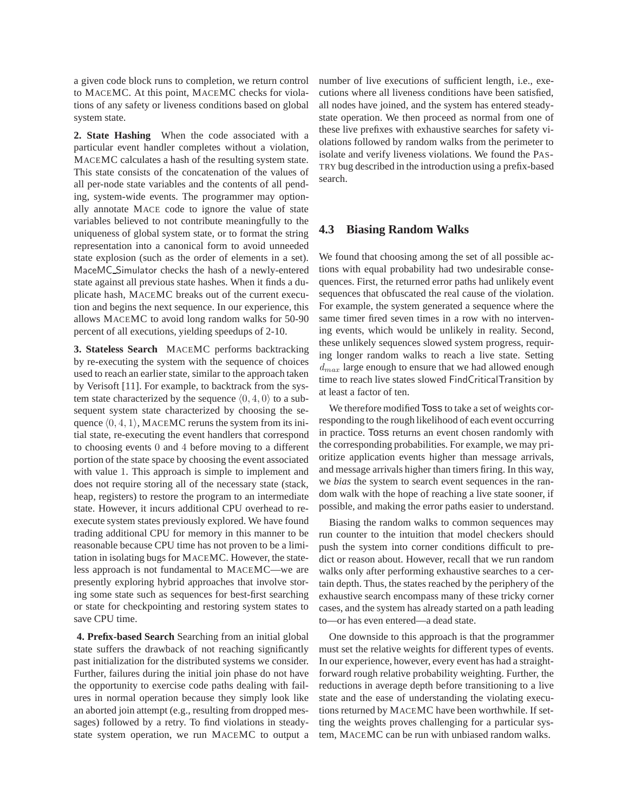a given code block runs to completion, we return control to MACEMC. At this point, MACEMC checks for violations of any safety or liveness conditions based on global system state.

**2. State Hashing** When the code associated with a particular event handler completes without a violation, MACEMC calculates a hash of the resulting system state. This state consists of the concatenation of the values of all per-node state variables and the contents of all pending, system-wide events. The programmer may optionally annotate MACE code to ignore the value of state variables believed to not contribute meaningfully to the uniqueness of global system state, or to format the string representation into a canonical form to avoid unneeded state explosion (such as the order of elements in a set). MaceMC Simulator checks the hash of a newly-entered state against all previous state hashes. When it finds a duplicate hash, MACEMC breaks out of the current execution and begins the next sequence. In our experience, this allows MACEMC to avoid long random walks for 50-90 percent of all executions, yielding speedups of 2-10.

**3. Stateless Search** MACEMC performs backtracking by re-executing the system with the sequence of choices used to reach an earlier state, similar to the approach taken by Verisoft [11]. For example, to backtrack from the system state characterized by the sequence  $(0, 4, 0)$  to a subsequent system state characterized by choosing the sequence  $\langle 0, 4, 1 \rangle$ , MACEMC reruns the system from its initial state, re-executing the event handlers that correspond to choosing events 0 and 4 before moving to a different portion of the state space by choosing the event associated with value 1. This approach is simple to implement and does not require storing all of the necessary state (stack, heap, registers) to restore the program to an intermediate state. However, it incurs additional CPU overhead to reexecute system states previously explored. We have found trading additional CPU for memory in this manner to be reasonable because CPU time has not proven to be a limitation in isolating bugs for MACEMC. However, the stateless approach is not fundamental to MACEMC—we are presently exploring hybrid approaches that involve storing some state such as sequences for best-first searching or state for checkpointing and restoring system states to save CPU time.

**4. Prefix-based Search** Searching from an initial global state suffers the drawback of not reaching significantly past initialization for the distributed systems we consider. Further, failures during the initial join phase do not have the opportunity to exercise code paths dealing with failures in normal operation because they simply look like an aborted join attempt (e.g., resulting from dropped messages) followed by a retry. To find violations in steadystate system operation, we run MACEMC to output a number of live executions of sufficient length, i.e., executions where all liveness conditions have been satisfied, all nodes have joined, and the system has entered steadystate operation. We then proceed as normal from one of these live prefixes with exhaustive searches for safety violations followed by random walks from the perimeter to isolate and verify liveness violations. We found the PAS-TRY bug described in the introduction using a prefix-based search.

#### **4.3 Biasing Random Walks**

We found that choosing among the set of all possible actions with equal probability had two undesirable consequences. First, the returned error paths had unlikely event sequences that obfuscated the real cause of the violation. For example, the system generated a sequence where the same timer fired seven times in a row with no intervening events, which would be unlikely in reality. Second, these unlikely sequences slowed system progress, requiring longer random walks to reach a live state. Setting  $d_{max}$  large enough to ensure that we had allowed enough time to reach live states slowed FindCriticalTransition by at least a factor of ten.

We therefore modified Toss to take a set of weights corresponding to the rough likelihood of each event occurring in practice. Toss returns an event chosen randomly with the corresponding probabilities. For example, we may prioritize application events higher than message arrivals, and message arrivals higher than timers firing. In this way, we *bias* the system to search event sequences in the random walk with the hope of reaching a live state sooner, if possible, and making the error paths easier to understand.

Biasing the random walks to common sequences may run counter to the intuition that model checkers should push the system into corner conditions difficult to predict or reason about. However, recall that we run random walks only after performing exhaustive searches to a certain depth. Thus, the states reached by the periphery of the exhaustive search encompass many of these tricky corner cases, and the system has already started on a path leading to—or has even entered—a dead state.

One downside to this approach is that the programmer must set the relative weights for different types of events. In our experience, however, every event has had a straightforward rough relative probability weighting. Further, the reductions in average depth before transitioning to a live state and the ease of understanding the violating executions returned by MACEMC have been worthwhile. If setting the weights proves challenging for a particular system, MACEMC can be run with unbiased random walks.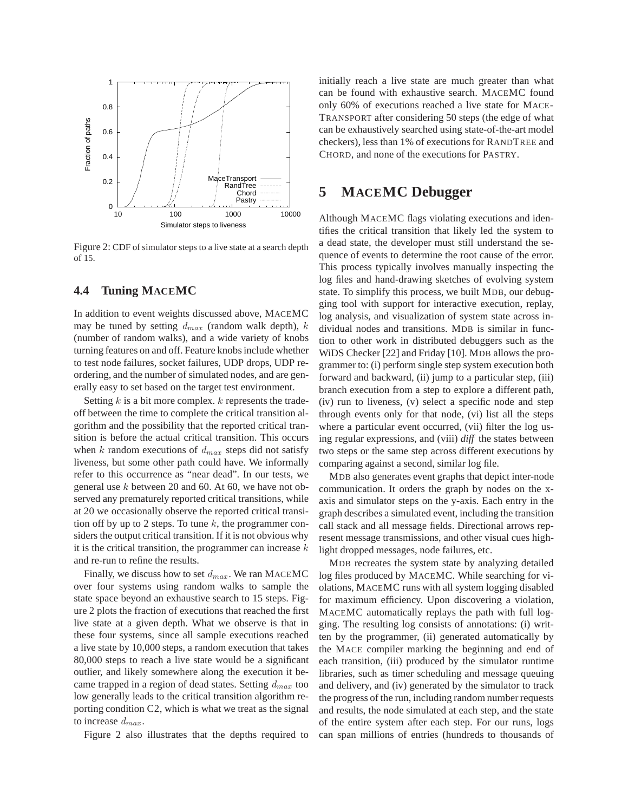

Figure 2: CDF of simulator steps to a live state at a search depth of 15.

#### **4.4 Tuning MACEMC**

In addition to event weights discussed above, MACEMC may be tuned by setting  $d_{max}$  (random walk depth), k (number of random walks), and a wide variety of knobs turning features on and off. Feature knobs include whether to test node failures, socket failures, UDP drops, UDP reordering, and the number of simulated nodes, and are generally easy to set based on the target test environment.

Setting  $k$  is a bit more complex.  $k$  represents the tradeoff between the time to complete the critical transition algorithm and the possibility that the reported critical transition is before the actual critical transition. This occurs when  $k$  random executions of  $d_{max}$  steps did not satisfy liveness, but some other path could have. We informally refer to this occurrence as "near dead". In our tests, we general use  $k$  between 20 and 60. At 60, we have not observed any prematurely reported critical transitions, while at 20 we occasionally observe the reported critical transition off by up to 2 steps. To tune  $k$ , the programmer considers the output critical transition. If it is not obvious why it is the critical transition, the programmer can increase  $k$ and re-run to refine the results.

Finally, we discuss how to set  $d_{max}$ . We ran MACEMC over four systems using random walks to sample the state space beyond an exhaustive search to 15 steps. Figure 2 plots the fraction of executions that reached the first live state at a given depth. What we observe is that in these four systems, since all sample executions reached a live state by 10,000 steps, a random execution that takes 80,000 steps to reach a live state would be a significant outlier, and likely somewhere along the execution it became trapped in a region of dead states. Setting  $d_{max}$  too low generally leads to the critical transition algorithm reporting condition C2, which is what we treat as the signal to increase  $d_{max}$ .

Figure 2 also illustrates that the depths required to

initially reach a live state are much greater than what can be found with exhaustive search. MACEMC found only 60% of executions reached a live state for MACE-TRANSPORT after considering 50 steps (the edge of what can be exhaustively searched using state-of-the-art model checkers), less than 1% of executions for RANDTREE and CHORD, and none of the executions for PASTRY.

### **5 MACEMC Debugger**

Although MACEMC flags violating executions and identifies the critical transition that likely led the system to a dead state, the developer must still understand the sequence of events to determine the root cause of the error. This process typically involves manually inspecting the log files and hand-drawing sketches of evolving system state. To simplify this process, we built MDB, our debugging tool with support for interactive execution, replay, log analysis, and visualization of system state across individual nodes and transitions. MDB is similar in function to other work in distributed debuggers such as the WiDS Checker [22] and Friday [10]. MDB allows the programmer to: (i) perform single step system execution both forward and backward, (ii) jump to a particular step, (iii) branch execution from a step to explore a different path, (iv) run to liveness, (v) select a specific node and step through events only for that node, (vi) list all the steps where a particular event occurred, (vii) filter the log using regular expressions, and (viii) *diff* the states between two steps or the same step across different executions by comparing against a second, similar log file.

MDB also generates event graphs that depict inter-node communication. It orders the graph by nodes on the xaxis and simulator steps on the y-axis. Each entry in the graph describes a simulated event, including the transition call stack and all message fields. Directional arrows represent message transmissions, and other visual cues highlight dropped messages, node failures, etc.

MDB recreates the system state by analyzing detailed log files produced by MACEMC. While searching for violations, MACEMC runs with all system logging disabled for maximum efficiency. Upon discovering a violation, MACEMC automatically replays the path with full logging. The resulting log consists of annotations: (i) written by the programmer, (ii) generated automatically by the MACE compiler marking the beginning and end of each transition, (iii) produced by the simulator runtime libraries, such as timer scheduling and message queuing and delivery, and (iv) generated by the simulator to track the progress of the run, including random number requests and results, the node simulated at each step, and the state of the entire system after each step. For our runs, logs can span millions of entries (hundreds to thousands of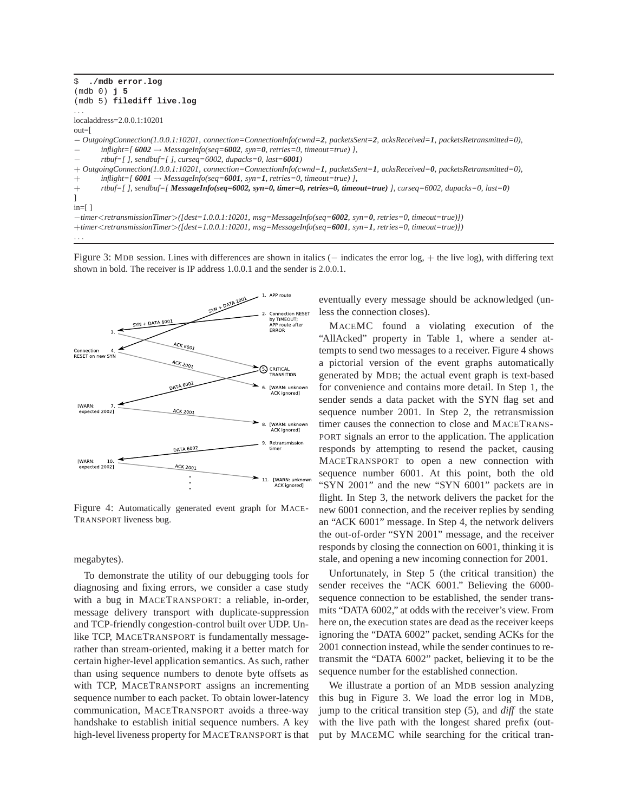```
$ ./mdb error.log
(mdb 0) j 5
(mdb 5) filediff live.log
. . .
localaddress=2.0.0.1:10201
out=[
− OutgoingConnection(1.0.0.1:10201, connection=ConnectionInfo(cwnd=2, packetsSent=2, acksReceived=1, packetsRetransmitted=0),
       inflight=[ 6002 → MessageInfo(seq=6002, syn=0, retries=0, timeout=true)],
       − rtbuf=[ ], sendbuf=[ ], curseq=6002, dupacks=0, last=6001)
+ OutgoingConnection(1.0.0.1:10201, connection=ConnectionInfo(cwnd=1, packetsSent=1, acksReceived=0, packetsRetransmitted=0),
+ inflight=[ 6001 → MessageInfo(seq=6001, syn=1, retries=0, timeout=true) ],
+ rtbuf=[ ], sendbuf=[ MessageInfo(seq=6002, syn=0, timer=0, retries=0, timeout=true) ], curseq=6002, dupacks=0, last=0)
]
in=[ ]
−timer<retransmissionTimer>([dest=1.0.0.1:10201, msg=MessageInfo(seq=6002, syn=0, retries=0, timeout=true)])
+timer<retransmissionTimer>([dest=1.0.0.1:10201, msg=MessageInfo(seq=6001, syn=1, retries=0, timeout=true)])
. . .
```
Figure 3: MDB session. Lines with differences are shown in italics (− indicates the error log, + the live log), with differing text shown in bold. The receiver is IP address 1.0.0.1 and the sender is 2.0.0.1.



Figure 4: Automatically generated event graph for MACE-TRANSPORT liveness bug.

#### megabytes).

To demonstrate the utility of our debugging tools for diagnosing and fixing errors, we consider a case study with a bug in MACETRANSPORT: a reliable, in-order, message delivery transport with duplicate-suppression and TCP-friendly congestion-control built over UDP. Unlike TCP, MACETRANSPORT is fundamentally messagerather than stream-oriented, making it a better match for certain higher-level application semantics. As such, rather than using sequence numbers to denote byte offsets as with TCP, MACETRANSPORT assigns an incrementing sequence number to each packet. To obtain lower-latency communication, MACETRANSPORT avoids a three-way handshake to establish initial sequence numbers. A key high-level liveness property for MACETRANSPORT is that

eventually every message should be acknowledged (unless the connection closes).

MACEMC found a violating execution of the "AllAcked" property in Table 1, where a sender attempts to send two messages to a receiver. Figure 4 shows a pictorial version of the event graphs automatically generated by MDB; the actual event graph is text-based for convenience and contains more detail. In Step 1, the sender sends a data packet with the SYN flag set and sequence number 2001. In Step 2, the retransmission timer causes the connection to close and MACETRANS-PORT signals an error to the application. The application responds by attempting to resend the packet, causing MACETRANSPORT to open a new connection with sequence number 6001. At this point, both the old "SYN 2001" and the new "SYN 6001" packets are in flight. In Step 3, the network delivers the packet for the new 6001 connection, and the receiver replies by sending an "ACK 6001" message. In Step 4, the network delivers the out-of-order "SYN 2001" message, and the receiver responds by closing the connection on 6001, thinking it is stale, and opening a new incoming connection for 2001.

Unfortunately, in Step 5 (the critical transition) the sender receives the "ACK 6001." Believing the 6000 sequence connection to be established, the sender transmits "DATA 6002," at odds with the receiver's view. From here on, the execution states are dead as the receiver keeps ignoring the "DATA 6002" packet, sending ACKs for the 2001 connection instead, while the sender continues to retransmit the "DATA 6002" packet, believing it to be the sequence number for the established connection.

We illustrate a portion of an MDB session analyzing this bug in Figure 3. We load the error log in MDB, jump to the critical transition step (5), and *diff* the state with the live path with the longest shared prefix (output by MACEMC while searching for the critical tran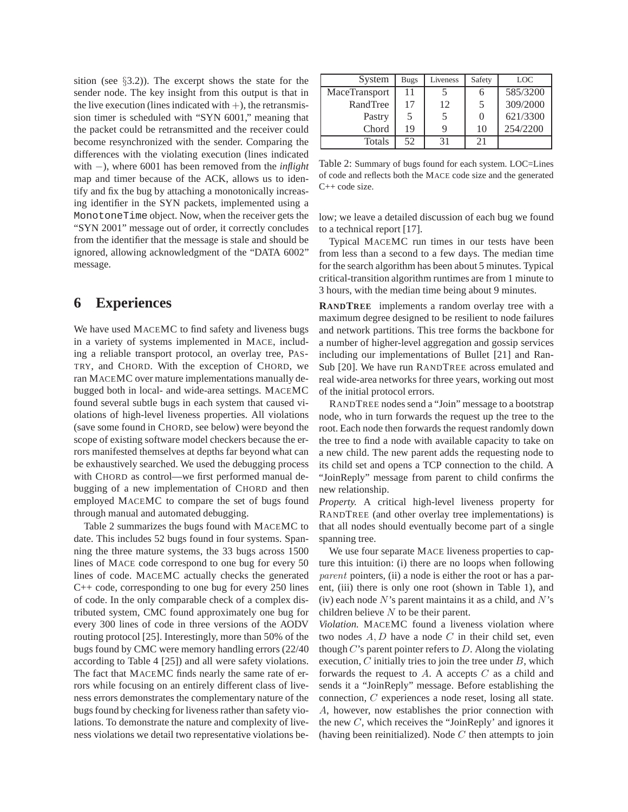sition (see §3.2)). The excerpt shows the state for the sender node. The key insight from this output is that in the live execution (lines indicated with  $+)$ , the retransmission timer is scheduled with "SYN 6001," meaning that the packet could be retransmitted and the receiver could become resynchronized with the sender. Comparing the differences with the violating execution (lines indicated with −), where 6001 has been removed from the *inflight* map and timer because of the ACK, allows us to identify and fix the bug by attaching a monotonically increasing identifier in the SYN packets, implemented using a MonotoneTime object. Now, when the receiver gets the "SYN 2001" message out of order, it correctly concludes from the identifier that the message is stale and should be ignored, allowing acknowledgment of the "DATA 6002" message.

# **6 Experiences**

We have used MACEMC to find safety and liveness bugs in a variety of systems implemented in MACE, including a reliable transport protocol, an overlay tree, PAS-TRY, and CHORD. With the exception of CHORD, we ran MACEMC over mature implementations manually debugged both in local- and wide-area settings. MACEMC found several subtle bugs in each system that caused violations of high-level liveness properties. All violations (save some found in CHORD, see below) were beyond the scope of existing software model checkers because the errors manifested themselves at depths far beyond what can be exhaustively searched. We used the debugging process with CHORD as control—we first performed manual debugging of a new implementation of CHORD and then employed MACEMC to compare the set of bugs found through manual and automated debugging.

Table 2 summarizes the bugs found with MACEMC to date. This includes 52 bugs found in four systems. Spanning the three mature systems, the 33 bugs across 1500 lines of MACE code correspond to one bug for every 50 lines of code. MACEMC actually checks the generated C++ code, corresponding to one bug for every 250 lines of code. In the only comparable check of a complex distributed system, CMC found approximately one bug for every 300 lines of code in three versions of the AODV routing protocol [25]. Interestingly, more than 50% of the bugs found by CMC were memory handling errors (22/40 according to Table 4 [25]) and all were safety violations. The fact that MACEMC finds nearly the same rate of errors while focusing on an entirely different class of liveness errors demonstrates the complementary nature of the bugs found by checking for liveness rather than safety violations. To demonstrate the nature and complexity of liveness violations we detail two representative violations be-

| System        | Bugs | Liveness | Safety | <b>LOC</b> |
|---------------|------|----------|--------|------------|
| MaceTransport | 11   |          |        | 585/3200   |
| RandTree      | 17   | 12       | 5      | 309/2000   |
| Pastry        | 5    | 5        |        | 621/3300   |
| Chord         | 19   |          | 10     | 254/2200   |
| <b>Totals</b> | 52   | 31       | 21     |            |

Table 2: Summary of bugs found for each system. LOC=Lines of code and reflects both the MACE code size and the generated C++ code size.

low; we leave a detailed discussion of each bug we found to a technical report [17].

Typical MACEMC run times in our tests have been from less than a second to a few days. The median time for the search algorithm has been about 5 minutes. Typical critical-transition algorithm runtimes are from 1 minute to 3 hours, with the median time being about 9 minutes.

**RANDTREE** implements a random overlay tree with a maximum degree designed to be resilient to node failures and network partitions. This tree forms the backbone for a number of higher-level aggregation and gossip services including our implementations of Bullet [21] and Ran-Sub [20]. We have run RANDTREE across emulated and real wide-area networks for three years, working out most of the initial protocol errors.

RANDTREE nodes send a "Join" message to a bootstrap node, who in turn forwards the request up the tree to the root. Each node then forwards the request randomly down the tree to find a node with available capacity to take on a new child. The new parent adds the requesting node to its child set and opens a TCP connection to the child. A "JoinReply" message from parent to child confirms the new relationship.

*Property.* A critical high-level liveness property for RANDTREE (and other overlay tree implementations) is that all nodes should eventually become part of a single spanning tree.

We use four separate MACE liveness properties to capture this intuition: (i) there are no loops when following parent pointers, (ii) a node is either the root or has a parent, (iii) there is only one root (shown in Table 1), and (iv) each node N's parent maintains it as a child, and N's children believe  $N$  to be their parent.

*Violation.* MACEMC found a liveness violation where two nodes  $A, D$  have a node  $C$  in their child set, even though  $C$ 's parent pointer refers to  $D$ . Along the violating execution,  $C$  initially tries to join the tree under  $B$ , which forwards the request to  $A$ . A accepts  $C$  as a child and sends it a "JoinReply" message. Before establishing the connection, C experiences a node reset, losing all state. A, however, now establishes the prior connection with the new C, which receives the "JoinReply' and ignores it (having been reinitialized). Node  $C$  then attempts to join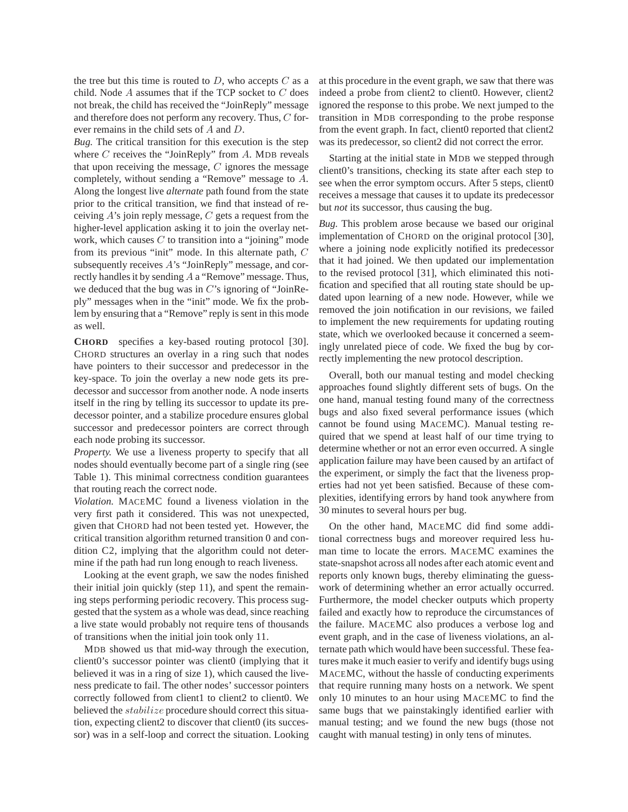the tree but this time is routed to  $D$ , who accepts  $C$  as a child. Node A assumes that if the TCP socket to C does not break, the child has received the "JoinReply" message and therefore does not perform any recovery. Thus, C forever remains in the child sets of A and D.

*Bug.* The critical transition for this execution is the step where  $C$  receives the "JoinReply" from  $A$ . MDB reveals that upon receiving the message,  $C$  ignores the message completely, without sending a "Remove" message to A. Along the longest live *alternate* path found from the state prior to the critical transition, we find that instead of receiving  $A$ 's join reply message,  $C$  gets a request from the higher-level application asking it to join the overlay network, which causes  $C$  to transition into a "joining" mode from its previous "init" mode. In this alternate path, C subsequently receives A's "JoinReply" message, and correctly handles it by sending A a "Remove" message. Thus, we deduced that the bug was in  $C$ 's ignoring of "JoinReply" messages when in the "init" mode. We fix the problem by ensuring that a "Remove" reply is sent in this mode as well.

**CHORD** specifies a key-based routing protocol [30]. CHORD structures an overlay in a ring such that nodes have pointers to their successor and predecessor in the key-space. To join the overlay a new node gets its predecessor and successor from another node. A node inserts itself in the ring by telling its successor to update its predecessor pointer, and a stabilize procedure ensures global successor and predecessor pointers are correct through each node probing its successor.

*Property.* We use a liveness property to specify that all nodes should eventually become part of a single ring (see Table 1). This minimal correctness condition guarantees that routing reach the correct node.

*Violation.* MACEMC found a liveness violation in the very first path it considered. This was not unexpected, given that CHORD had not been tested yet. However, the critical transition algorithm returned transition 0 and condition C2, implying that the algorithm could not determine if the path had run long enough to reach liveness.

Looking at the event graph, we saw the nodes finished their initial join quickly (step 11), and spent the remaining steps performing periodic recovery. This process suggested that the system as a whole was dead, since reaching a live state would probably not require tens of thousands of transitions when the initial join took only 11.

MDB showed us that mid-way through the execution, client0's successor pointer was client0 (implying that it believed it was in a ring of size 1), which caused the liveness predicate to fail. The other nodes' successor pointers correctly followed from client1 to client2 to client0. We believed the *stabilize* procedure should correct this situation, expecting client2 to discover that client0 (its successor) was in a self-loop and correct the situation. Looking at this procedure in the event graph, we saw that there was indeed a probe from client2 to client0. However, client2 ignored the response to this probe. We next jumped to the transition in MDB corresponding to the probe response from the event graph. In fact, client0 reported that client2 was its predecessor, so client2 did not correct the error.

Starting at the initial state in MDB we stepped through client0's transitions, checking its state after each step to see when the error symptom occurs. After 5 steps, client0 receives a message that causes it to update its predecessor but *not* its successor, thus causing the bug.

*Bug.* This problem arose because we based our original implementation of CHORD on the original protocol [30], where a joining node explicitly notified its predecessor that it had joined. We then updated our implementation to the revised protocol [31], which eliminated this notification and specified that all routing state should be updated upon learning of a new node. However, while we removed the join notification in our revisions, we failed to implement the new requirements for updating routing state, which we overlooked because it concerned a seemingly unrelated piece of code. We fixed the bug by correctly implementing the new protocol description.

Overall, both our manual testing and model checking approaches found slightly different sets of bugs. On the one hand, manual testing found many of the correctness bugs and also fixed several performance issues (which cannot be found using MACEMC). Manual testing required that we spend at least half of our time trying to determine whether or not an error even occurred. A single application failure may have been caused by an artifact of the experiment, or simply the fact that the liveness properties had not yet been satisfied. Because of these complexities, identifying errors by hand took anywhere from 30 minutes to several hours per bug.

On the other hand, MACEMC did find some additional correctness bugs and moreover required less human time to locate the errors. MACEMC examines the state-snapshot across all nodes after each atomic event and reports only known bugs, thereby eliminating the guesswork of determining whether an error actually occurred. Furthermore, the model checker outputs which property failed and exactly how to reproduce the circumstances of the failure. MACEMC also produces a verbose log and event graph, and in the case of liveness violations, an alternate path which would have been successful. These features make it much easier to verify and identify bugs using MACEMC, without the hassle of conducting experiments that require running many hosts on a network. We spent only 10 minutes to an hour using MACEMC to find the same bugs that we painstakingly identified earlier with manual testing; and we found the new bugs (those not caught with manual testing) in only tens of minutes.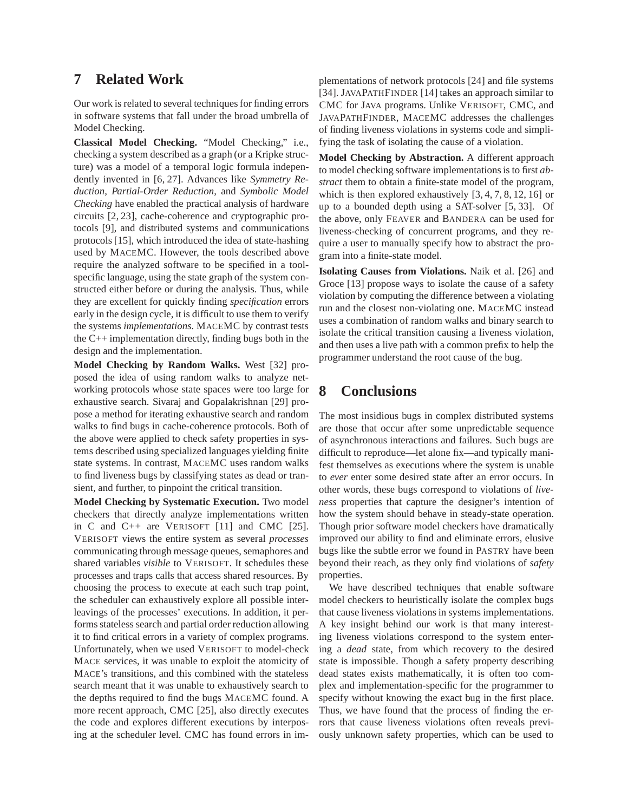### **7 Related Work**

Our work is related to several techniques for finding errors in software systems that fall under the broad umbrella of Model Checking.

**Classical Model Checking.** "Model Checking," i.e., checking a system described as a graph (or a Kripke structure) was a model of a temporal logic formula independently invented in [6, 27]. Advances like *Symmetry Reduction, Partial-Order Reduction*, and *Symbolic Model Checking* have enabled the practical analysis of hardware circuits [2, 23], cache-coherence and cryptographic protocols [9], and distributed systems and communications protocols [15], which introduced the idea of state-hashing used by MACEMC. However, the tools described above require the analyzed software to be specified in a toolspecific language, using the state graph of the system constructed either before or during the analysis. Thus, while they are excellent for quickly finding *specification* errors early in the design cycle, it is difficult to use them to verify the systems *implementations*. MACEMC by contrast tests the C++ implementation directly, finding bugs both in the design and the implementation.

**Model Checking by Random Walks.** West [32] proposed the idea of using random walks to analyze networking protocols whose state spaces were too large for exhaustive search. Sivaraj and Gopalakrishnan [29] propose a method for iterating exhaustive search and random walks to find bugs in cache-coherence protocols. Both of the above were applied to check safety properties in systems described using specialized languages yielding finite state systems. In contrast, MACEMC uses random walks to find liveness bugs by classifying states as dead or transient, and further, to pinpoint the critical transition.

**Model Checking by Systematic Execution.** Two model checkers that directly analyze implementations written in C and C++ are VERISOFT [11] and CMC [25]. VERISOFT views the entire system as several *processes* communicating through message queues, semaphores and shared variables *visible* to VERISOFT. It schedules these processes and traps calls that access shared resources. By choosing the process to execute at each such trap point, the scheduler can exhaustively explore all possible interleavings of the processes' executions. In addition, it performs stateless search and partial order reduction allowing it to find critical errors in a variety of complex programs. Unfortunately, when we used VERISOFT to model-check MACE services, it was unable to exploit the atomicity of MACE's transitions, and this combined with the stateless search meant that it was unable to exhaustively search to the depths required to find the bugs MACEMC found. A more recent approach, CMC [25], also directly executes the code and explores different executions by interposing at the scheduler level. CMC has found errors in im-

plementations of network protocols [24] and file systems [34]. JAVAPATHFINDER [14] takes an approach similar to CMC for JAVA programs. Unlike VERISOFT, CMC, and JAVAPATHFINDER, MACEMC addresses the challenges of finding liveness violations in systems code and simplifying the task of isolating the cause of a violation.

**Model Checking by Abstraction.** A different approach to model checking software implementations is to first *abstract* them to obtain a finite-state model of the program, which is then explored exhaustively [3, 4, 7, 8, 12, 16] or up to a bounded depth using a SAT-solver [5, 33]. Of the above, only FEAVER and BANDERA can be used for liveness-checking of concurrent programs, and they require a user to manually specify how to abstract the program into a finite-state model.

**Isolating Causes from Violations.** Naik et al. [26] and Groce [13] propose ways to isolate the cause of a safety violation by computing the difference between a violating run and the closest non-violating one. MACEMC instead uses a combination of random walks and binary search to isolate the critical transition causing a liveness violation, and then uses a live path with a common prefix to help the programmer understand the root cause of the bug.

# **8 Conclusions**

The most insidious bugs in complex distributed systems are those that occur after some unpredictable sequence of asynchronous interactions and failures. Such bugs are difficult to reproduce—let alone fix—and typically manifest themselves as executions where the system is unable to *ever* enter some desired state after an error occurs. In other words, these bugs correspond to violations of *liveness* properties that capture the designer's intention of how the system should behave in steady-state operation. Though prior software model checkers have dramatically improved our ability to find and eliminate errors, elusive bugs like the subtle error we found in PASTRY have been beyond their reach, as they only find violations of *safety* properties.

We have described techniques that enable software model checkers to heuristically isolate the complex bugs that cause liveness violations in systems implementations. A key insight behind our work is that many interesting liveness violations correspond to the system entering a *dead* state, from which recovery to the desired state is impossible. Though a safety property describing dead states exists mathematically, it is often too complex and implementation-specific for the programmer to specify without knowing the exact bug in the first place. Thus, we have found that the process of finding the errors that cause liveness violations often reveals previously unknown safety properties, which can be used to